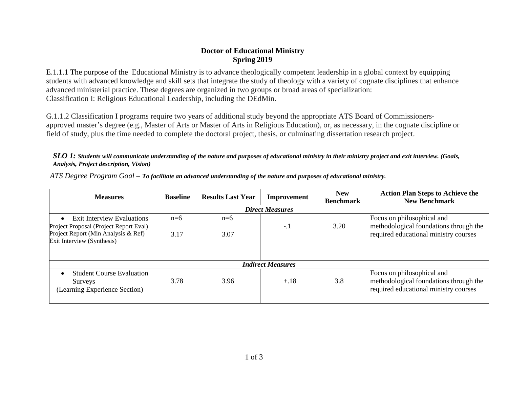## **Doctor of Educational Ministry Spring 2019**

E.1.1.1 The purpose of the Educational Ministry is to advance theologically competent leadership in a global context by equipping students with advanced knowledge and skill sets that integrate the study of theology with a variety of cognate disciplines that enhance advanced ministerial practice. These degrees are organized in two groups or broad areas of specialization: Classification I: Religious Educational Leadership, including the DEdMin.

G.1.1.2 Classification I programs require two years of additional study beyond the appropriate ATS Board of Commissionersapproved master's degree (e.g., Master of Arts or Master of Arts in Religious Education), or, as necessary, in the cognate discipline or field of study, plus the time needed to complete the doctoral project, thesis, or culminating dissertation research project.

## *SLO 1: Students will communicate understanding of the nature and purposes of educational ministry in their ministry project and exit interview. (Goals, Analysis, Project description, Vision)*

| <b>Measures</b>                                                                           | <b>Baseline</b> | <b>Results Last Year</b> | Improvement | <b>New</b><br><b>Benchmark</b> | <b>Action Plan Steps to Achieve the</b><br><b>New Benchmark</b>                                               |  |  |
|-------------------------------------------------------------------------------------------|-----------------|--------------------------|-------------|--------------------------------|---------------------------------------------------------------------------------------------------------------|--|--|
| <b>Direct Measures</b>                                                                    |                 |                          |             |                                |                                                                                                               |  |  |
| <b>Exit Interview Evaluations</b><br>$\bullet$<br>Project Proposal (Project Report Eval)  | $n=6$           | $n=6$                    | $-.1$       | 3.20                           | Focus on philosophical and<br>methodological foundations through the                                          |  |  |
| Project Report (Min Analysis & Ref)<br>Exit Interview (Synthesis)                         | 3.17            | 3.07                     |             |                                | required educational ministry courses                                                                         |  |  |
| <b>Indirect Measures</b>                                                                  |                 |                          |             |                                |                                                                                                               |  |  |
| <b>Student Course Evaluation</b><br>$\bullet$<br>Surveys<br>(Learning Experience Section) | 3.78            | 3.96                     | $+.18$      | 3.8                            | Focus on philosophical and<br>methodological foundations through the<br>required educational ministry courses |  |  |

*ATS Degree Program Goal – To facilitate an advanced understanding of the nature and purposes of educational ministry.*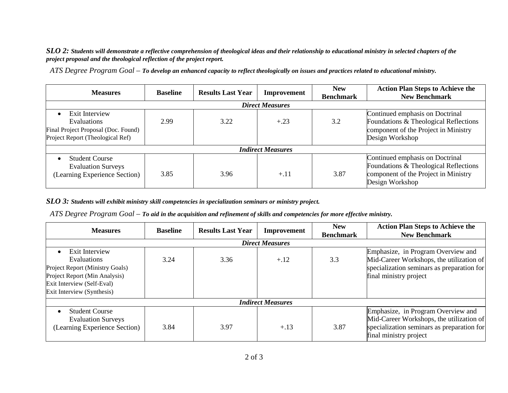*SLO 2: Students will demonstrate a reflective comprehension of theological ideas and their relationship to educational ministry in selected chapters of the project proposal and the theological reflection of the project report.*

*ATS Degree Program Goal – To develop an enhanced capacity to reflect theologically on issues and practices related to educational ministry.*

| <b>Measures</b>                                                                                                       | <b>Baseline</b> | <b>Results Last Year</b> | Improvement | <b>New</b><br><b>Benchmark</b> | <b>Action Plan Steps to Achieve the</b><br><b>New Benchmark</b>                                                                     |  |  |
|-----------------------------------------------------------------------------------------------------------------------|-----------------|--------------------------|-------------|--------------------------------|-------------------------------------------------------------------------------------------------------------------------------------|--|--|
| <b>Direct Measures</b>                                                                                                |                 |                          |             |                                |                                                                                                                                     |  |  |
| Exit Interview<br>$\bullet$<br>Evaluations<br>Final Project Proposal (Doc. Found)<br>Project Report (Theological Ref) | 2.99            | 3.22                     | $+.23$      | 3.2                            | Continued emphasis on Doctrinal<br>Foundations & Theological Reflections<br>component of the Project in Ministry<br>Design Workshop |  |  |
| <b>Indirect Measures</b>                                                                                              |                 |                          |             |                                |                                                                                                                                     |  |  |
| <b>Student Course</b><br>$\bullet$<br><b>Evaluation Surveys</b><br>(Learning Experience Section)                      | 3.85            | 3.96                     | $+.11$      | 3.87                           | Continued emphasis on Doctrinal<br>Foundations & Theological Reflections<br>component of the Project in Ministry<br>Design Workshop |  |  |

*SLO 3: Students will exhibit ministry skill competencies in specialization seminars or ministry project.*

*ATS Degree Program Goal – To aid in the acquisition and refinement of skills and competencies for more effective ministry.*

| <b>Measures</b>                                                                                                                                                      | <b>Baseline</b> | <b>Results Last Year</b> | Improvement | <b>New</b><br><b>Benchmark</b> | <b>Action Plan Steps to Achieve the</b><br><b>New Benchmark</b>                                                                                        |  |  |
|----------------------------------------------------------------------------------------------------------------------------------------------------------------------|-----------------|--------------------------|-------------|--------------------------------|--------------------------------------------------------------------------------------------------------------------------------------------------------|--|--|
| <b>Direct Measures</b>                                                                                                                                               |                 |                          |             |                                |                                                                                                                                                        |  |  |
| Exit Interview<br><b>Evaluations</b><br>Project Report (Ministry Goals)<br>Project Report (Min Analysis)<br>Exit Interview (Self-Eval)<br>Exit Interview (Synthesis) | 3.24            | 3.36                     | $+.12$      | 3.3                            | Emphasize, in Program Overview and<br>Mid-Career Workshops, the utilization of<br>specialization seminars as preparation for<br>final ministry project |  |  |
| <b>Indirect Measures</b>                                                                                                                                             |                 |                          |             |                                |                                                                                                                                                        |  |  |
| <b>Student Course</b><br><b>Evaluation Surveys</b><br>(Learning Experience Section)                                                                                  | 3.84            | 3.97                     | $+.13$      | 3.87                           | Emphasize, in Program Overview and<br>Mid-Career Workshops, the utilization of<br>specialization seminars as preparation for<br>final ministry project |  |  |